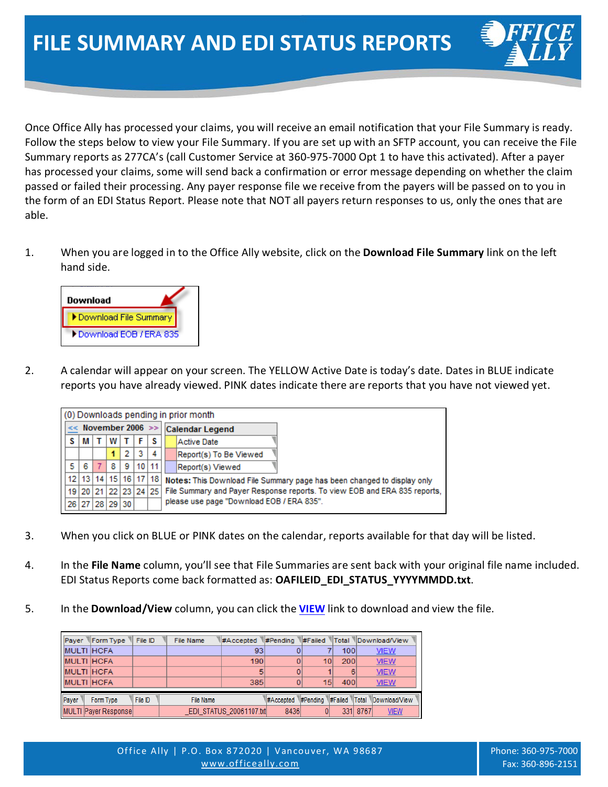Once Office Ally has processed your claims, you will receive an email notification that your File Summary is ready. Follow the steps below to view your File Summary. If you are set up with an SFTP account, you can receive the File Summary reports as 277CA's (call Customer Service at 360-975-7000 Opt 1 to have this activated). After a payer has processed your claims, some will send back a confirmation or error message depending on whether the claim passed or failed their processing. Any payer response file we receive from the payers will be passed on to you in the form of an EDI Status Report. Please note that NOT all payers return responses to us, only the ones that are able.

1. When you are logged in to the Office Ally website, click on the **Download File Summary** link on the left hand side.



2. A calendar will appear on your screen. The YELLOW Active Date is today's date. Dates in BLUE indicate reports you have already viewed. PINK dates indicate there are reports that you have not viewed yet.

|                         | (0) Downloads pending in prior month |  |   |   |       |                      |  |                                                                           |  |  |  |  |  |  |
|-------------------------|--------------------------------------|--|---|---|-------|----------------------|--|---------------------------------------------------------------------------|--|--|--|--|--|--|
| $<<$ November 2006 $>>$ |                                      |  |   |   |       |                      |  | <b>Calendar Legend</b>                                                    |  |  |  |  |  |  |
|                         | M                                    |  | w |   | F     | s                    |  | Active Date                                                               |  |  |  |  |  |  |
|                         |                                      |  |   | 2 | з     | 4                    |  | Report(s) To Be Viewed                                                    |  |  |  |  |  |  |
| 5                       | 6                                    |  | 8 | 9 | 10 11 |                      |  | Report(s) Viewed                                                          |  |  |  |  |  |  |
|                         | 12 13 14 15 16 17 18                 |  |   |   |       |                      |  | Notes: This Download File Summary page has been changed to display only   |  |  |  |  |  |  |
|                         |                                      |  |   |   |       | 19 20 21 22 23 24 25 |  | File Summary and Payer Response reports. To view EOB and ERA 835 reports, |  |  |  |  |  |  |
|                         | 26 27 28 29 30                       |  |   |   |       |                      |  | please use page "Download EOB / ERA 835".                                 |  |  |  |  |  |  |

- 3. When you click on BLUE or PINK dates on the calendar, reports available for that day will be listed.
- 4. In the **File Name** column, you'll see that File Summaries are sent back with your original file name included. EDI Status Reports come back formatted as: **OAFILEID\_EDI\_STATUS\_YYYYMMDD.txt**.
- 5. In the **Download/View** column, you can click the **VIEW** link to download and view the file.

|       | Payer Form Type File ID |         | File Name |                         |      |    |     | #Accepted #Pending #Failed Total Download/View |  |
|-------|-------------------------|---------|-----------|-------------------------|------|----|-----|------------------------------------------------|--|
|       | <b>MULTI HCFA</b>       |         |           | 93                      |      |    | 100 | <b>VIEW</b>                                    |  |
|       | <b>MULTI HCFA</b>       |         |           | 190                     |      | 10 | 200 | <b>VIEW</b>                                    |  |
|       | <b>MULTI HCFA</b>       |         |           | 5                       |      |    | 6   | <b>VIEW</b>                                    |  |
|       | <b>MULTI HCFA</b>       |         |           | 385                     |      | 15 | 400 | <b>VIEW</b>                                    |  |
|       |                         |         |           |                         |      |    |     |                                                |  |
| Payer | Form Type               | File ID | File Name |                         |      |    |     | #Accepted #Pending #Failed Total Download/View |  |
|       | MULTI Payer Response    |         |           | EDI STATUS 20061107.txt | 8436 | 01 |     | 331 8767<br><b>VIEW</b>                        |  |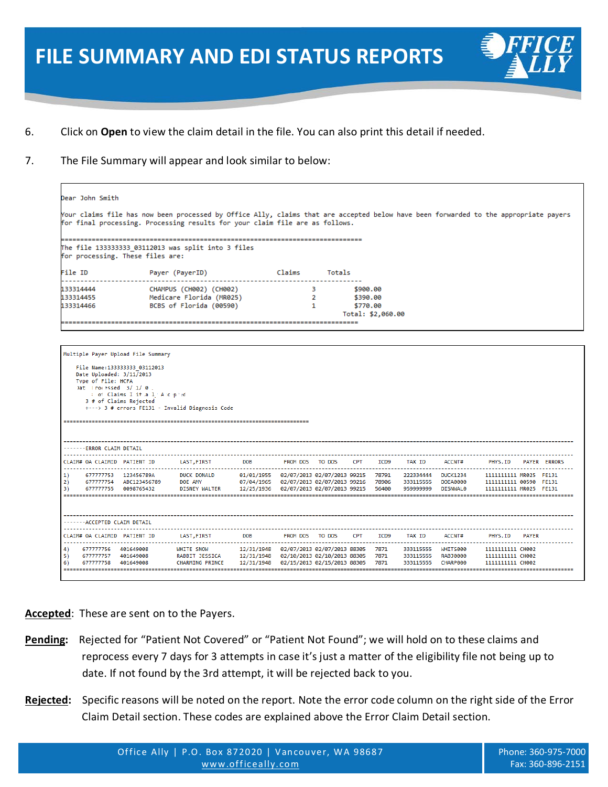## **FILE SUMMARY AND EDI STATUS REPORTS**

- 6. Click on **Open** to view the claim detail in the file. You can also print this detail if needed.
- 7. The File Summary will appear and look similar to below:

```
)ear John Smith
Your claims file has now been processed by Office Ally, claims that are accepted below have been forwarded to the appropriate payers
for final processing. Processing results for your claim file are as follows.
 The file 133333333 03112013 was split into 3 files
for processing. These files are:
ile ID
                        Payer (PayerID)
                                                             Claims
                                                                          Totals
33314444
                        CHAMPUS (CH002) (CH002)
                                                                      \overline{\mathbf{3}}$900.00
33314455
                        Medicare Florida (MR025)
                                                                       -2
                                                                                   $390.00
33314466
                        BCBS of Florida (00590)
                                                                       \mathbf{1}$770.00
                                                                               Total: $2,060.00
Multiple Payer Upload File Summary
   File Name:133333333_03112013
   Date Uploaded: 3/11/2013
   FILE: FILE SEARCH SAND REPORTS TO SALL TO STATUS REPORTS TO SALL TO STATUS REPORTS TO STATUS REPORTS TO STATUS REPORTS TO STATISHT A 1.1 A C priod SHE STATUS REPORTS TO STATISHT A 1.1 A C priod SHE STATISHT AND STATISHT
. . . . . . . . . .
-------ERROR CLAIM DETAIL
CLAIM# OA CLAIMID PATIENT ID
                                 LAST, FIRST
                                                   DOB
                                                               FROM DOS
                                                                         TO DOS
                                                                                  CPT
                                                                                          ICD9
                                                                                                  TAX ID
                                                                                                             ACCNT#
                                                                                                                          PHYS.ID
                                                                                                                                   PAYER ERRORS
                                       . . . . . . . . . . . . . . . . . . .
1)677777753 123456789A
                                 DUCK DONALD
                                                  01/01/1955 02/07/2013 02/07/2013 99215 78791
                                                                                                 222334444
                                                                                                            DUCK1234
                                                                                                                         1111111111 MR025 FE131
2)677777754
                ABC123456789
                                 DOE AMY
                                                  07/04/1965
                                                              02/07/2013 02/07/2013 99216
                                                                                         78906
                                                                                                 333115555
                                                                                                            DOEAGGGG
                                                                                                                         1111111111 00590
                                                                                                                                         FF131
                                 DISNEY WALTER
      677777755 0098765432
                                                                                         56400
                                                                                                            DISNWAL0
3)12/25/1936
                                                              02/07/2013 02/07/2013 99215
                                                                                                 959999999
                                                                                                                         1111111111 MR025 FE131
 ------ACCEPTED CLAIM DETAIL
                                                                                 CPT
                                                                                                                          PHYS.ID
CLAIM# OA CLAIMID PATIENT ID
                                 LAST, FIRST
                                                   DOB
                                                               FROM DOS TO DOS
                                                                                         ICD9
                                                                                                  TAX ID
                                                                                                             ACCNT#
                                                                                                                                   PAYER
4)
     677777756 401649008
                                WHITE SNOW
                                                  12/31/1948
                                                              02/07/2013 02/07/2013 88305
                                                                                       7871
                                                                                                 333115555
                                                                                                            WHITS000
                                                                                                                         11111111111 СН002
     677777757
                401649008
                                RABBIT JESSICA
                                                  12/31/1948
                                                              02/10/2013 02/10/2013 88305
                                                                                         7871
                                                                                                  333115555
                                                                                                            RAB30000
                                                                                                                         1111111111 СН002
6)677777758 401649008
                                CHARMING PRINCE
                                                  12/31/1948
                                                              02/15/2013 02/15/2013 88305
                                                                                        7871
                                                                                                 333115555
                                                                                                            CHARP000
                                                                                                                         1111111111 СН002
     -----------
                ,,,,,,,,,,,,
                                                                                                             --------
                                                                                                                                    ,,,,,,,,,,,,,,,,,
```
**Accepted**: These are sent on to the Payers.

- **Pending:** Rejected for "Patient Not Covered" or "Patient Not Found"; we will hold on to these claims and reprocess every 7 days for 3 attempts in case it's just a matter of the eligibility file not being up to date. If not found by the 3rd attempt, it will be rejected back to you.
- **Rejected:** Specific reasons will be noted on the report. Note the error code column on the right side of the Error Claim Detail section. These codes are explained above the Error Claim Detail section.

in the control of the control of the control of the control of the control of the control of the control of the control of the control of the control of the control of the control of the control of the control of the contr